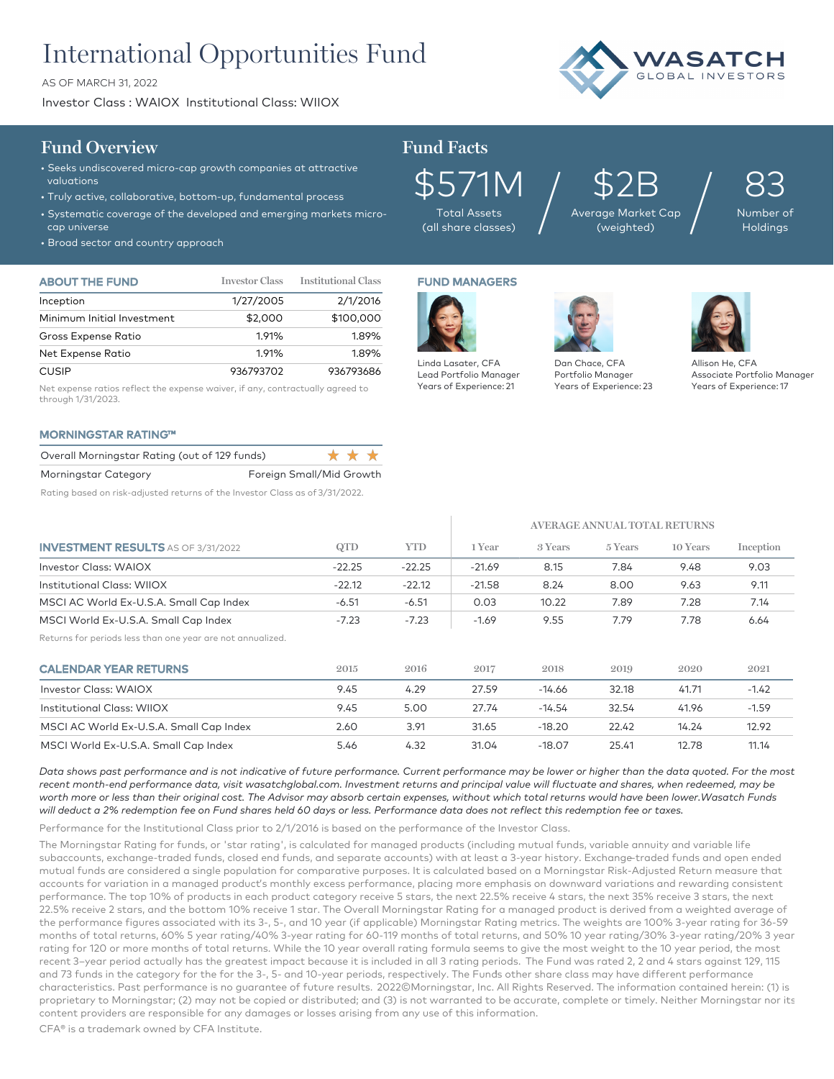# International Opportunities Fund

AS OF MARCH 31, 2022

Investor Class : WAIOX Institutional Class: WIIOX



### **Fund Overview Fund Facts**

- Seeks undiscovered micro-cap growth companies at attractive valuations
- Truly active, collaborative, bottom-up, fundamental process
- Systematic coverage of the developed and emerging markets microcap universe
- Broad sector and country approach

| <b>ABOUT THE FUND</b>      | <b>Investor Class</b> | <b>Institutional Class</b> |
|----------------------------|-----------------------|----------------------------|
| Inception                  | 1/27/2005             | 2/1/2016                   |
| Minimum Initial Investment | \$2,000               | \$100,000                  |
| Gross Expense Ratio        | 1.91%                 | 1.89%                      |
| Net Expense Ratio          | 1.91%                 | 1.89%                      |
| <b>CUSIP</b>               | 936793702             | 936793686                  |

Net expense ratios reflect the expense waiver, if any, contractually agreed to through 1/31/2023.

### MORNINGSTAR RATING™

| Overall Morningstar Rating (out of 129 funds) |                          | * * * |  |
|-----------------------------------------------|--------------------------|-------|--|
| Morningstar Category                          | Foreign Small/Mid Growth |       |  |

Rating based on risk-adjusted returns of the Investor Class as of 3/31/2022.

\$571M Total Assets

FUND MANAGERS

Linda Lasater, CFA Lead Portfolio Manager Years of Experience: 21

(all share classes)

## \$2B Average Market Cap  $$2B_{\tiny{\text{age Market Cap}}}\Big/$

83 Number of Holdings

Dan Chace, CFA Portfolio Manager Years of Experience: 23



Allison He, CFA Associate Portfolio Manager Years of Experience: 17

|                                                            |          |            | AVERAGE ANNUAL TOTAL RETURNS |          |         |          |           |
|------------------------------------------------------------|----------|------------|------------------------------|----------|---------|----------|-----------|
| <b>INVESTMENT RESULTS</b> AS OF 3/31/2022                  | QTD      | <b>YTD</b> | 1 Year                       | 3 Years  | 5 Years | 10 Years | Inception |
| Investor Class: WAIOX                                      | $-22.25$ | $-22.25$   | $-21.69$                     | 8.15     | 7.84    | 9.48     | 9.03      |
| Institutional Class: WIIOX                                 | $-22.12$ | $-22.12$   | $-21.58$                     | 8.24     | 8.00    | 9.63     | 9.11      |
| MSCI AC World Ex-U.S.A. Small Cap Index                    | $-6.51$  | $-6.51$    | 0.03                         | 10.22    | 7.89    | 7.28     | 7.14      |
| MSCI World Ex-U.S.A. Small Cap Index                       | $-7.23$  | $-7.23$    | $-1.69$                      | 9.55     | 7.79    | 7.78     | 6.64      |
| Returns for periods less than one year are not annualized. |          |            |                              |          |         |          |           |
| <b>CALENDAR YEAR RETURNS</b>                               | 2015     | 2016       | 2017                         | 2018     | 2019    | 2020     | 2021      |
| Investor Class: WAIOX                                      | 9.45     | 4.29       | 27.59                        | $-14.66$ | 32.18   | 41.71    | $-1.42$   |
| Institutional Class: WIIOX                                 | 9.45     | 5.00       | 27.74                        | $-14.54$ | 32.54   | 41.96    | $-1.59$   |
| MSCI AC World Ex-U.S.A. Small Cap Index                    | 2.60     | 3.91       | 31.65                        | $-18.20$ | 22.42   | 14.24    | 12.92     |
| MSCI World Ex-U.S.A. Small Cap Index                       | 5.46     | 4.32       | 31.04                        | $-18.07$ | 25.41   | 12.78    | 11.14     |

*Data shows past performance and is not indicative of future performance. Current performance may be lower or higher than the data quoted. For the most*  recent month-end performance data, visit wasatchglobal.com. Investment returns and principal value will fluctuate and shares, when redeemed, may be *worth more or less than their original cost. The Advisor may absorb certain expenses, without which total returns would have been lower.Wasatch Funds will deduct a 2% redemption fee on Fund shares held 60 days or less. Performance data does not reflect this redemption fee or taxes.*

Performance for the Institutional Class prior to 2/1/2016 is based on the performance of the Investor Class.

The Morningstar Rating for funds, or 'star rating', is calculated for managed products (including mutual funds, variable annuity and variable life subaccounts, exchange-traded funds, closed end funds, and separate accounts) with at least a 3-year history. Exchange–traded funds and open ended mutual funds are considered a single population for comparative purposes. It is calculated based on a Morningstar Risk-Adjusted Return measure that accounts for variation in a managed product's monthly excess performance, placing more emphasis on downward variations and rewarding consistent performance. The top 10% of products in each product category receive 5 stars, the next 22.5% receive 4 stars, the next 35% receive 3 stars, the next 22.5% receive 2 stars, and the bottom 10% receive 1 star. The Overall Morningstar Rating for a managed product is derived from a weighted average of the performance figures associated with its 3-, 5-, and 10 year (if applicable) Morningstar Rating metrics. The weights are 100% 3-year rating for 36-59 months of total returns, 60% 5 year rating/40% 3-year rating for 60-119 months of total returns, and 50% 10 year rating/30% 3-year rating/20% 3 year rating for 120 or more months of total returns. While the 10 year overall rating formula seems to give the most weight to the 10 year period, the most recent 3–year period actually has the greatest impact because it is included in all 3 rating periods. The Fund was rated 2, 2 and 4 stars against 129, 115 and 73 funds in the category for the for the 3-, 5- and 10-year periods, respectively. The Funds other share class may have different performance characteristics. Past performance is no guarantee of future results. 2022©Morningstar, Inc. All Rights Reserved. The information contained herein: (1) is proprietary to Morningstar; (2) may not be copied or distributed; and (3) is not warranted to be accurate, complete or timely. Neither Morningstar nor its content providers are responsible for any damages or losses arising from any use of this information.

CFA® is a trademark owned by CFA Institute.